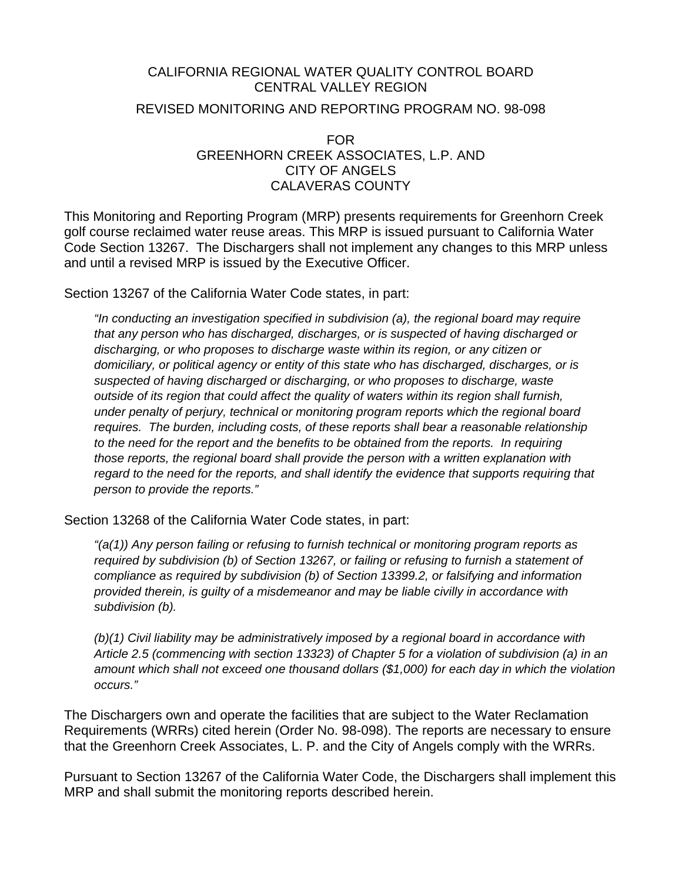#### CALIFORNIA REGIONAL WATER QUALITY CONTROL BOARD CENTRAL VALLEY REGION

#### REVISED MONITORING AND REPORTING PROGRAM NO. 98-098

FOR GREENHORN CREEK ASSOCIATES, L.P. AND CITY OF ANGELS CALAVERAS COUNTY

This Monitoring and Reporting Program (MRP) presents requirements for Greenhorn Creek golf course reclaimed water reuse areas. This MRP is issued pursuant to California Water Code Section 13267. The Dischargers shall not implement any changes to this MRP unless and until a revised MRP is issued by the Executive Officer.

Section 13267 of the California Water Code states, in part:

*"In conducting an investigation specified in subdivision (a), the regional board may require that any person who has discharged, discharges, or is suspected of having discharged or discharging, or who proposes to discharge waste within its region, or any citizen or domiciliary, or political agency or entity of this state who has discharged, discharges, or is suspected of having discharged or discharging, or who proposes to discharge, waste outside of its region that could affect the quality of waters within its region shall furnish, under penalty of perjury, technical or monitoring program reports which the regional board requires. The burden, including costs, of these reports shall bear a reasonable relationship to the need for the report and the benefits to be obtained from the reports. In requiring those reports, the regional board shall provide the person with a written explanation with regard to the need for the reports, and shall identify the evidence that supports requiring that person to provide the reports."* 

Section 13268 of the California Water Code states, in part:

*"(a(1)) Any person failing or refusing to furnish technical or monitoring program reports as required by subdivision (b) of Section 13267, or failing or refusing to furnish a statement of compliance as required by subdivision (b) of Section 13399.2, or falsifying and information provided therein, is guilty of a misdemeanor and may be liable civilly in accordance with subdivision (b).* 

*(b)(1) Civil liability may be administratively imposed by a regional board in accordance with Article 2.5 (commencing with section 13323) of Chapter 5 for a violation of subdivision (a) in an amount which shall not exceed one thousand dollars (\$1,000) for each day in which the violation occurs."* 

The Dischargers own and operate the facilities that are subject to the Water Reclamation Requirements (WRRs) cited herein (Order No. 98-098). The reports are necessary to ensure that the Greenhorn Creek Associates, L. P. and the City of Angels comply with the WRRs.

Pursuant to Section 13267 of the California Water Code, the Dischargers shall implement this MRP and shall submit the monitoring reports described herein.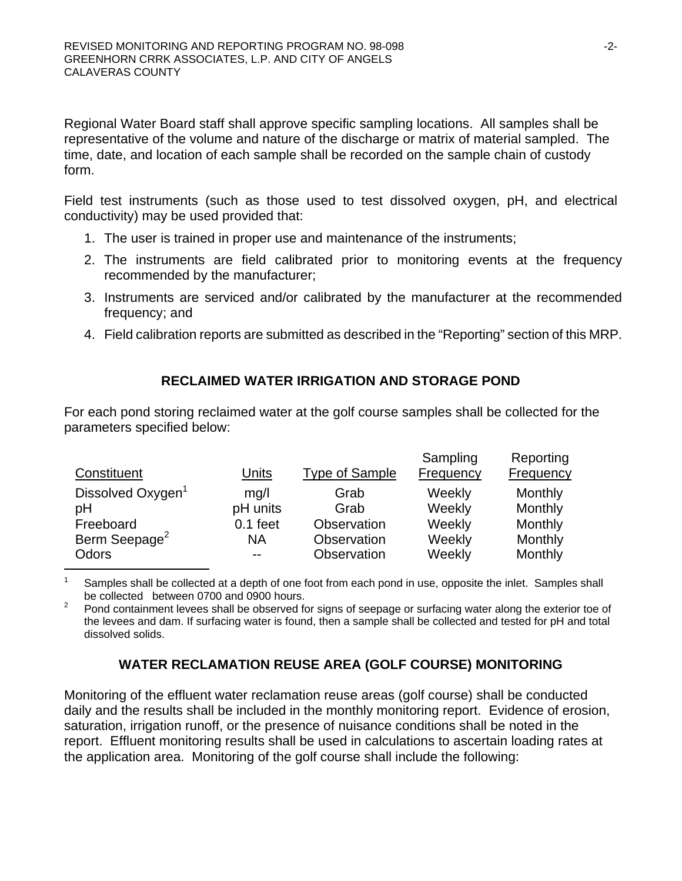Regional Water Board staff shall approve specific sampling locations. All samples shall be representative of the volume and nature of the discharge or matrix of material sampled. The time, date, and location of each sample shall be recorded on the sample chain of custody form.

Field test instruments (such as those used to test dissolved oxygen, pH, and electrical conductivity) may be used provided that:

- 1. The user is trained in proper use and maintenance of the instruments;
- 2. The instruments are field calibrated prior to monitoring events at the frequency recommended by the manufacturer;
- 3. Instruments are serviced and/or calibrated by the manufacturer at the recommended frequency; and
- 4. Field calibration reports are submitted as described in the "Reporting" section of this MRP.

# **RECLAIMED WATER IRRIGATION AND STORAGE POND**

For each pond storing reclaimed water at the golf course samples shall be collected for the parameters specified below:

|                               |            |                       | Sampling  | Reporting |
|-------------------------------|------------|-----------------------|-----------|-----------|
| Constituent                   | Units      | <b>Type of Sample</b> | Frequency | Frequency |
| Dissolved Oxygen <sup>1</sup> | mg/l       | Grab                  | Weekly    | Monthly   |
| pH                            | pH units   | Grab                  | Weekly    | Monthly   |
| Freeboard                     | $0.1$ feet | Observation           | Weekly    | Monthly   |
| Berm Seepage <sup>2</sup>     | <b>NA</b>  | Observation           | Weekly    | Monthly   |
| Odors                         | $- -$      | Observation           | Weekly    | Monthly   |

<sup>1</sup> Samples shall be collected at a depth of one foot from each pond in use, opposite the inlet. Samples shall be collected between 0700 and 0900 hours.

2 Pond containment levees shall be observed for signs of seepage or surfacing water along the exterior toe of the levees and dam. If surfacing water is found, then a sample shall be collected and tested for pH and total dissolved solids.

# **WATER RECLAMATION REUSE AREA (GOLF COURSE) MONITORING**

Monitoring of the effluent water reclamation reuse areas (golf course) shall be conducted daily and the results shall be included in the monthly monitoring report. Evidence of erosion, saturation, irrigation runoff, or the presence of nuisance conditions shall be noted in the report. Effluent monitoring results shall be used in calculations to ascertain loading rates at the application area. Monitoring of the golf course shall include the following: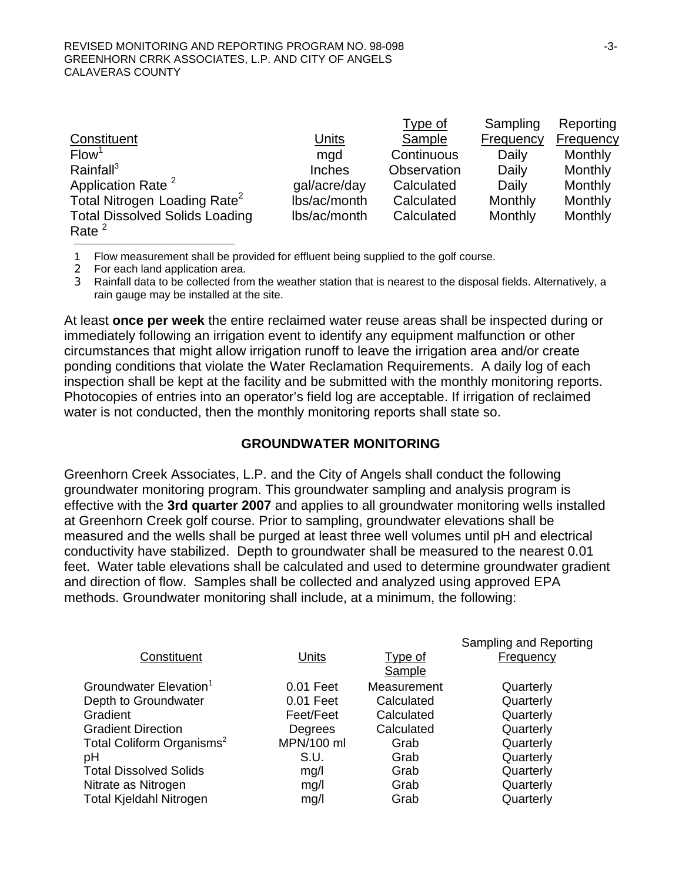|                                          |               | Type of     | Sampling  | Reporting |
|------------------------------------------|---------------|-------------|-----------|-----------|
| Constituent                              | Units         | Sample      | Frequency | Frequency |
| Flow <sup>1</sup>                        | mgd           | Continuous  | Daily     | Monthly   |
| Rainfall <sup>3</sup>                    | <b>Inches</b> | Observation | Daily     | Monthly   |
| Application Rate <sup>2</sup>            | gal/acre/day  | Calculated  | Daily     | Monthly   |
| Total Nitrogen Loading Rate <sup>2</sup> | lbs/ac/month  | Calculated  | Monthly   | Monthly   |
| <b>Total Dissolved Solids Loading</b>    | lbs/ac/month  | Calculated  | Monthly   | Monthly   |
| Rate $^2$                                |               |             |           |           |

1 Flow measurement shall be provided for effluent being supplied to the golf course.

2 For each land application area.

3 Rainfall data to be collected from the weather station that is nearest to the disposal fields. Alternatively, a rain gauge may be installed at the site.

At least **once per week** the entire reclaimed water reuse areas shall be inspected during or immediately following an irrigation event to identify any equipment malfunction or other circumstances that might allow irrigation runoff to leave the irrigation area and/or create ponding conditions that violate the Water Reclamation Requirements. A daily log of each inspection shall be kept at the facility and be submitted with the monthly monitoring reports. Photocopies of entries into an operator's field log are acceptable. If irrigation of reclaimed water is not conducted, then the monthly monitoring reports shall state so.

### **GROUNDWATER MONITORING**

Greenhorn Creek Associates, L.P. and the City of Angels shall conduct the following groundwater monitoring program. This groundwater sampling and analysis program is effective with the **3rd quarter 2007** and applies to all groundwater monitoring wells installed at Greenhorn Creek golf course. Prior to sampling, groundwater elevations shall be measured and the wells shall be purged at least three well volumes until pH and electrical conductivity have stabilized. Depth to groundwater shall be measured to the nearest 0.01 feet. Water table elevations shall be calculated and used to determine groundwater gradient and direction of flow. Samples shall be collected and analyzed using approved EPA methods. Groundwater monitoring shall include, at a minimum, the following:

|             |                | Sampling and Reporting |
|-------------|----------------|------------------------|
| Units       | <b>Type of</b> | <b>Frequency</b>       |
|             | Sample         |                        |
| $0.01$ Feet | Measurement    | Quarterly              |
| $0.01$ Feet | Calculated     | Quarterly              |
| Feet/Feet   | Calculated     | Quarterly              |
| Degrees     | Calculated     | Quarterly              |
| MPN/100 ml  | Grab           | Quarterly              |
| S.U.        | Grab           | Quarterly              |
| mg/l        | Grab           | Quarterly              |
| mg/l        | Grab           | Quarterly              |
| mg/l        | Grab           | Quarterly              |
|             |                |                        |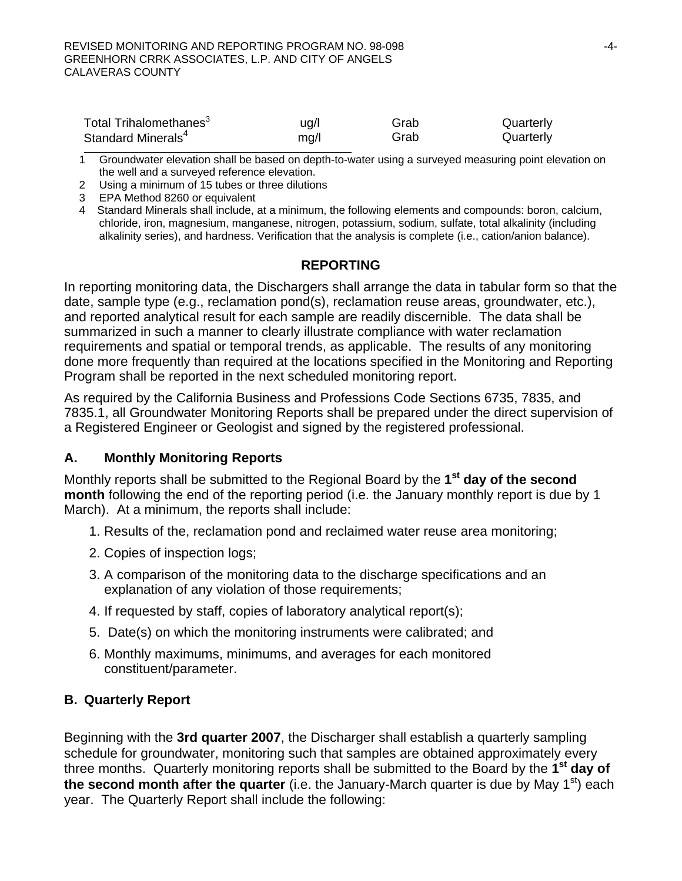| Total Trihalomethanes <sup>3</sup> | ug/l | Grab | Quarterly |
|------------------------------------|------|------|-----------|
| Standard Minerals <sup>4</sup>     | mg/l | Grab | Quarterly |

1 Groundwater elevation shall be based on depth-to-water using a surveyed measuring point elevation on the well and a surveyed reference elevation.

2 Using a minimum of 15 tubes or three dilutions

3 EPA Method 8260 or equivalent

4 Standard Minerals shall include, at a minimum, the following elements and compounds: boron, calcium, chloride, iron, magnesium, manganese, nitrogen, potassium, sodium, sulfate, total alkalinity (including alkalinity series), and hardness. Verification that the analysis is complete (i.e., cation/anion balance).

## **REPORTING**

In reporting monitoring data, the Dischargers shall arrange the data in tabular form so that the date, sample type (e.g., reclamation pond(s), reclamation reuse areas, groundwater, etc.), and reported analytical result for each sample are readily discernible. The data shall be summarized in such a manner to clearly illustrate compliance with water reclamation requirements and spatial or temporal trends, as applicable. The results of any monitoring done more frequently than required at the locations specified in the Monitoring and Reporting Program shall be reported in the next scheduled monitoring report.

As required by the California Business and Professions Code Sections 6735, 7835, and 7835.1, all Groundwater Monitoring Reports shall be prepared under the direct supervision of a Registered Engineer or Geologist and signed by the registered professional.

### **A. Monthly Monitoring Reports**

Monthly reports shall be submitted to the Regional Board by the **1st day of the second month** following the end of the reporting period (i.e. the January monthly report is due by 1 March). At a minimum, the reports shall include:

- 1. Results of the, reclamation pond and reclaimed water reuse area monitoring;
- 2. Copies of inspection logs;
- 3. A comparison of the monitoring data to the discharge specifications and an explanation of any violation of those requirements;
- 4. If requested by staff, copies of laboratory analytical report(s);
- 5. Date(s) on which the monitoring instruments were calibrated; and
- 6. Monthly maximums, minimums, and averages for each monitored constituent/parameter.

### **B. Quarterly Report**

Beginning with the **3rd quarter 2007**, the Discharger shall establish a quarterly sampling schedule for groundwater, monitoring such that samples are obtained approximately every three months. Quarterly monitoring reports shall be submitted to the Board by the **1st day of the second month after the quarter** (i.e. the January-March quarter is due by May 1<sup>st</sup>) each year. The Quarterly Report shall include the following: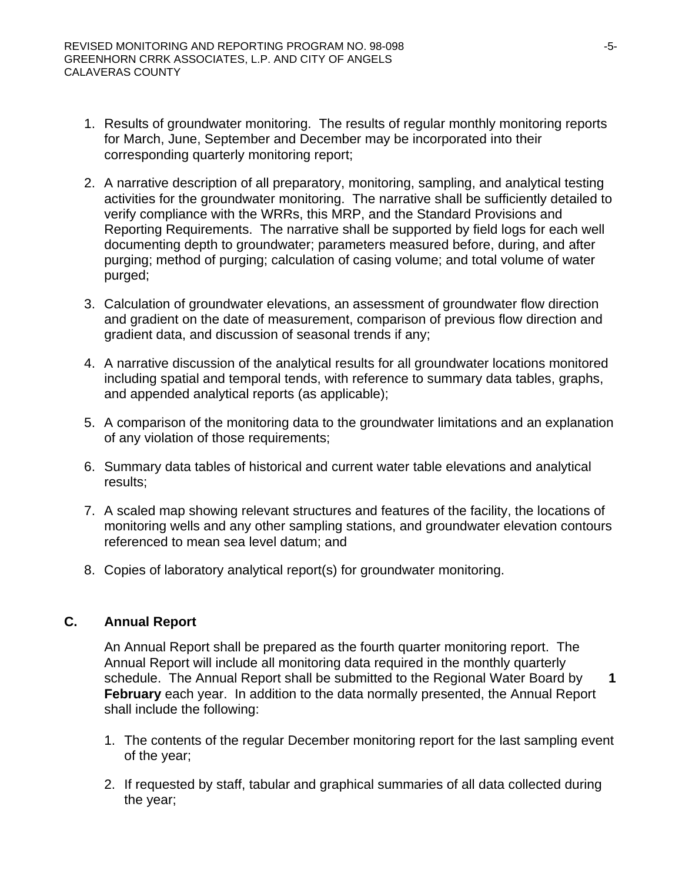- 1. Results of groundwater monitoring. The results of regular monthly monitoring reports for March, June, September and December may be incorporated into their corresponding quarterly monitoring report;
- 2. A narrative description of all preparatory, monitoring, sampling, and analytical testing activities for the groundwater monitoring. The narrative shall be sufficiently detailed to verify compliance with the WRRs, this MRP, and the Standard Provisions and Reporting Requirements. The narrative shall be supported by field logs for each well documenting depth to groundwater; parameters measured before, during, and after purging; method of purging; calculation of casing volume; and total volume of water purged;
- 3. Calculation of groundwater elevations, an assessment of groundwater flow direction and gradient on the date of measurement, comparison of previous flow direction and gradient data, and discussion of seasonal trends if any;
- 4. A narrative discussion of the analytical results for all groundwater locations monitored including spatial and temporal tends, with reference to summary data tables, graphs, and appended analytical reports (as applicable);
- 5. A comparison of the monitoring data to the groundwater limitations and an explanation of any violation of those requirements;
- 6. Summary data tables of historical and current water table elevations and analytical results;
- 7. A scaled map showing relevant structures and features of the facility, the locations of monitoring wells and any other sampling stations, and groundwater elevation contours referenced to mean sea level datum; and
- 8. Copies of laboratory analytical report(s) for groundwater monitoring.

# **C. Annual Report**

An Annual Report shall be prepared as the fourth quarter monitoring report. The Annual Report will include all monitoring data required in the monthly quarterly schedule. The Annual Report shall be submitted to the Regional Water Board by **1 February** each year. In addition to the data normally presented, the Annual Report shall include the following:

- 1. The contents of the regular December monitoring report for the last sampling event of the year;
- 2. If requested by staff, tabular and graphical summaries of all data collected during the year;